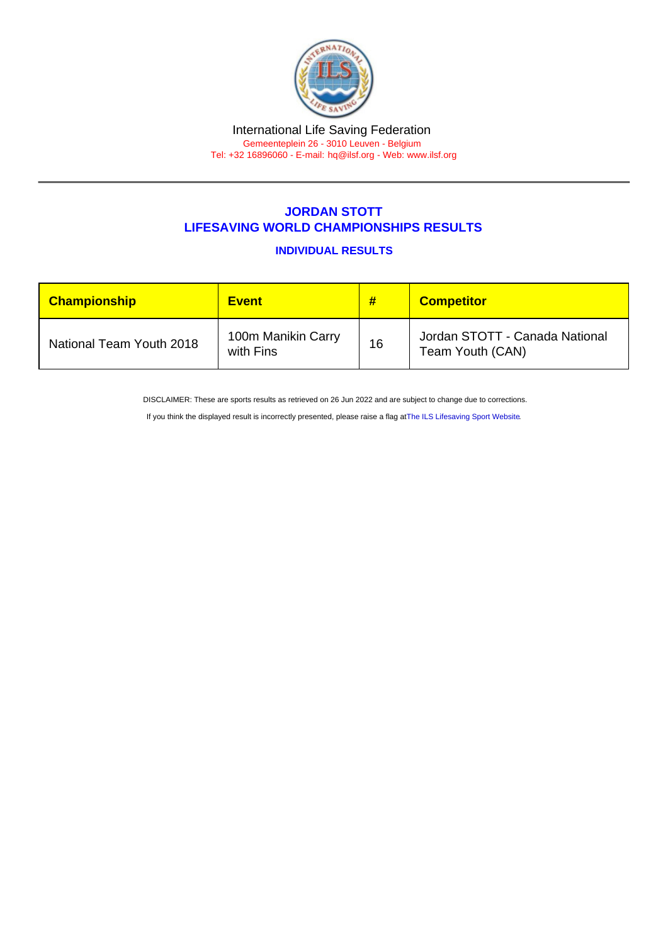## International Life Saving Federation Gemeenteplein 26 - 3010 Leuven - Belgium

Tel: +32 16896060 - E-mail: [hq@ilsf.org](mailto:hq@ilsf.org) - Web: [www.ilsf.org](https://www.ilsf.org)

## JORDAN STOTT LIFESAVING WORLD CHAMPIONSHIPS RESULTS

INDIVIDUAL RESULTS

| <b>Championship</b>      | <b>Event</b>                    | #  | <b>Competitor</b>                                  |
|--------------------------|---------------------------------|----|----------------------------------------------------|
| National Team Youth 2018 | 100m Manikin Carry<br>with Fins | 16 | Jordan STOTT - Canada National<br>Team Youth (CAN) |

DISCLAIMER: These are sports results as retrieved on 26 Jun 2022 and are subject to change due to corrections.

If you think the displayed result is incorrectly presented, please raise a flag at [The ILS Lifesaving Sport Website.](https://sport.ilsf.org)